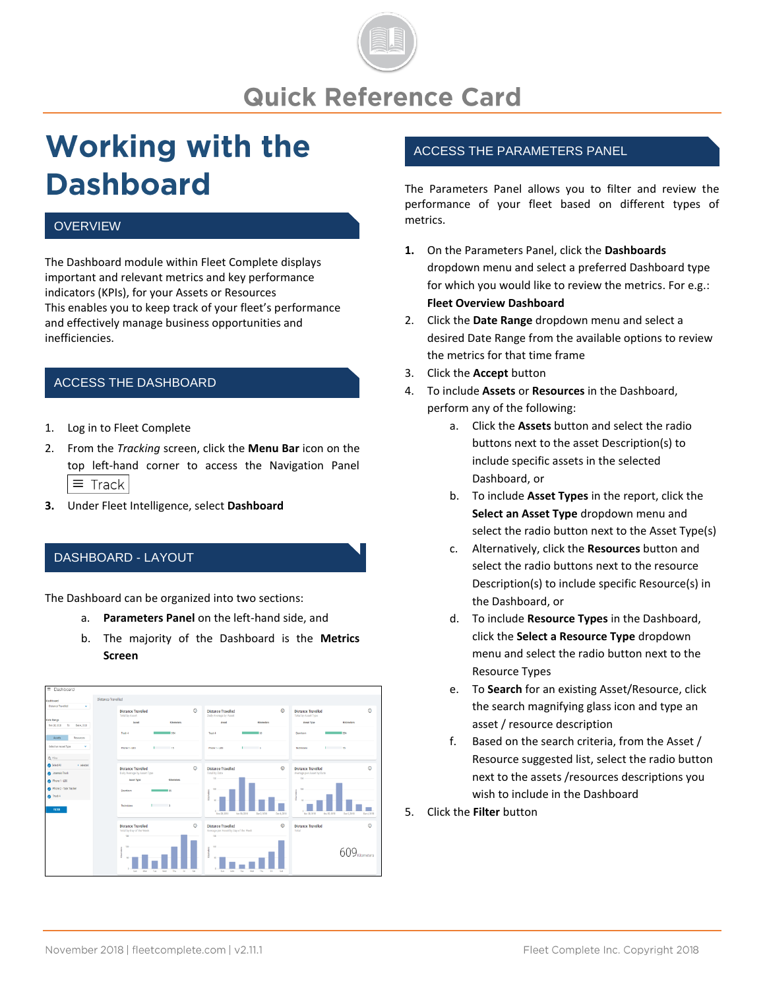

# **Working with the Dashboard**

#### **OVERVIEW**

The Dashboard module within Fleet Complete displays important and relevant metrics and key performance indicators (KPIs), for your Assets or Resources This enables you to keep track of your fleet's performance and effectively manage business opportunities and inefficiencies.

### ACCESS THE DASHBOARD

- 1. Log in to Fleet Complete
- 2. From the *Tracking* screen, click the **Menu Bar** icon on the top left-hand corner to access the Navigation Panel  $\equiv$  Track
- **3.** Under Fleet Intelligence, select **Dashboard**

### DASHBOARD - LAYOUT

The Dashboard can be organized into two sections:

- a. **Parameters Panel** on the left-hand side, and
- b. The majority of the Dashboard is the **Metrics Screen**



#### ACCESS THE PARAMETERS PANEL

The Parameters Panel allows you to filter and review the performance of your fleet based on different types of metrics.

- **1.** On the Parameters Panel, click the **Dashboards** dropdown menu and select a preferred Dashboard type for which you would like to review the metrics. For e.g.: **Fleet Overview Dashboard**
- 2. Click the **Date Range** dropdown menu and select a desired Date Range from the available options to review the metrics for that time frame
- 3. Click the **Accept** button
- 4. To include **Assets** or **Resources** in the Dashboard, perform any of the following:
	- a. Click the **Assets** button and select the radio buttons next to the asset Description(s) to include specific assets in the selected Dashboard, or
	- b. To include **Asset Types** in the report, click the **Select an Asset Type** dropdown menu and select the radio button next to the Asset Type(s)
	- c. Alternatively, click the **Resources** button and select the radio buttons next to the resource Description(s) to include specific Resource(s) in the Dashboard, or
	- d. To include **Resource Types** in the Dashboard, click the **Select a Resource Type** dropdown menu and select the radio button next to the Resource Types
	- e. To **Search** for an existing Asset/Resource, click the search magnifying glass icon and type an asset / resource description
	- f. Based on the search criteria, from the Asset / Resource suggested list, select the radio button next to the assets /resources descriptions you wish to include in the Dashboard
- 5. Click the **Filter** button